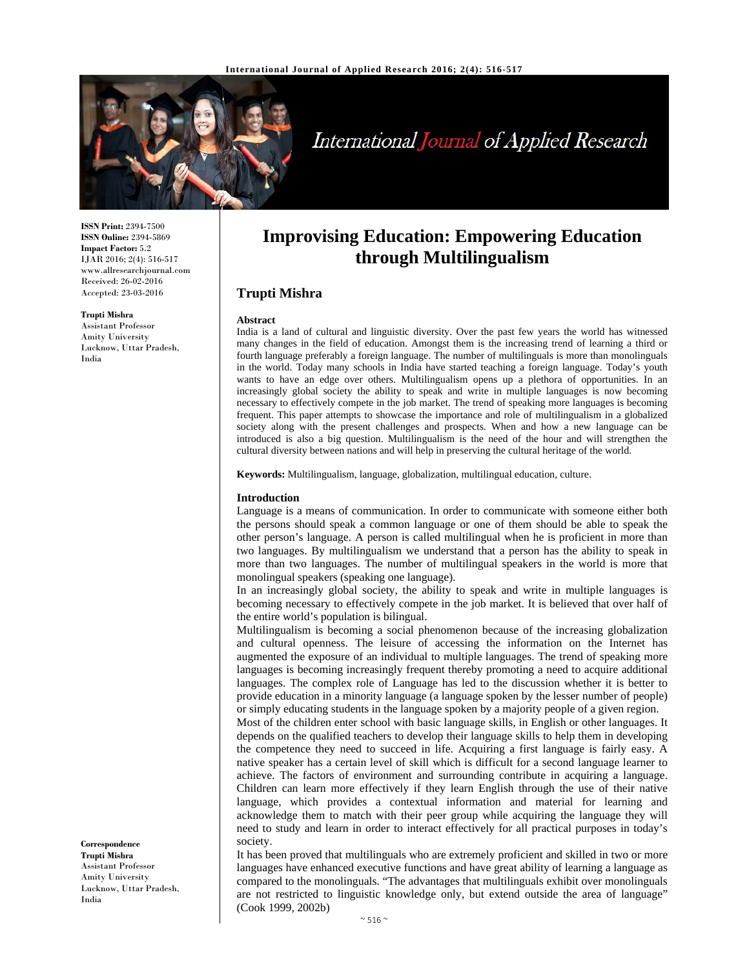

# International Journal of Applied Research

**ISSN Print:** 2394-7500 **ISSN Online:** 2394-5869 **Impact Factor:** 5.2 IJAR 2016; 2(4): 516-517 www.allresearchjournal.com Received: 26-02-2016 Accepted: 23-03-2016

#### **Trupti Mishra**

Assistant Professor Amity University Lucknow, Uttar Pradesh, India

## **Improvising Education: Empowering Education through Multilingualism**

## **Trupti Mishra**

#### **Abstract**

India is a land of cultural and linguistic diversity. Over the past few years the world has witnessed many changes in the field of education. Amongst them is the increasing trend of learning a third or fourth language preferably a foreign language. The number of multilinguals is more than monolinguals in the world. Today many schools in India have started teaching a foreign language. Today's youth wants to have an edge over others. Multilingualism opens up a plethora of opportunities. In an increasingly global society the ability to speak and write in multiple languages is now becoming necessary to effectively compete in the job market. The trend of speaking more languages is becoming frequent. This paper attempts to showcase the importance and role of multilingualism in a globalized society along with the present challenges and prospects. When and how a new language can be introduced is also a big question. Multilingualism is the need of the hour and will strengthen the cultural diversity between nations and will help in preserving the cultural heritage of the world.

**Keywords:** Multilingualism, language, globalization, multilingual education, culture.

#### **Introduction**

Language is a means of communication. In order to communicate with someone either both the persons should speak a common language or one of them should be able to speak the other person's language. A person is called multilingual when he is proficient in more than two languages. By multilingualism we understand that a person has the ability to speak in more than two languages. The number of multilingual speakers in the world is more that monolingual speakers (speaking one language).

In an increasingly global society, the ability to speak and write in multiple languages is becoming necessary to effectively compete in the job market. It is believed that over half of the entire world's population is bilingual.

Multilingualism is becoming a social phenomenon because of the increasing globalization and cultural openness. The leisure of accessing the information on the Internet has augmented the exposure of an individual to multiple languages. The trend of speaking more languages is becoming increasingly frequent thereby promoting a need to acquire additional languages. The complex role of Language has led to the discussion whether it is better to provide education in a minority language (a language spoken by the lesser number of people) or simply educating students in the language spoken by a majority people of a given region.

Most of the children enter school with basic language skills, in English or other languages. It depends on the qualified teachers to develop their language skills to help them in developing the competence they need to succeed in life. Acquiring a first language is fairly easy. A native speaker has a certain level of skill which is difficult for a second language learner to achieve. The factors of environment and surrounding contribute in acquiring a language. Children can learn more effectively if they learn English through the use of their native language, which provides a contextual information and material for learning and acknowledge them to match with their peer group while acquiring the language they will need to study and learn in order to interact effectively for all practical purposes in today's society.

It has been proved that multilinguals who are extremely proficient and skilled in two or more languages have enhanced executive functions and have great ability of learning a language as compared to the monolinguals. "The advantages that multilinguals exhibit over monolinguals are not restricted to linguistic knowledge only, but extend outside the area of language" (Cook 1999, 2002b)

## **Correspondence**

**Trupti Mishra**  Assistant Professor Amity University Lucknow, Uttar Pradesh, India